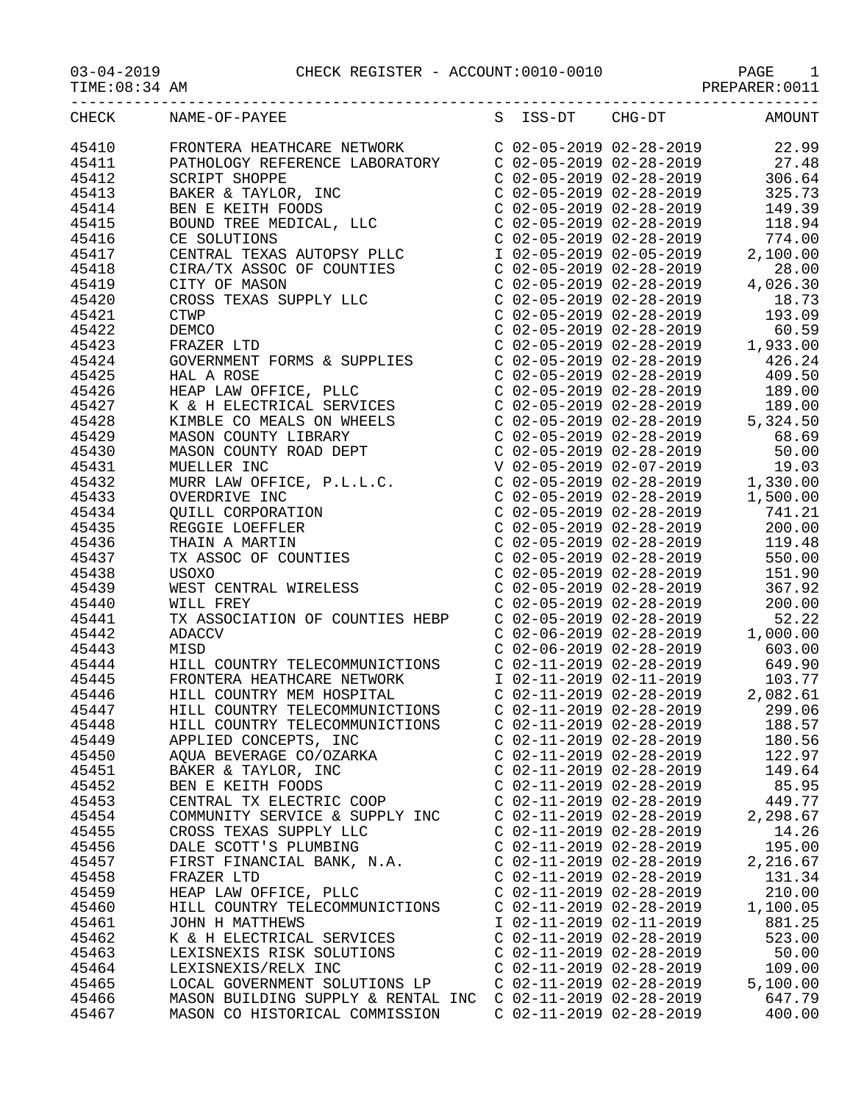03-04-2019 CHECK REGISTER - ACCOUNT:0010-0010 PAGE 1

| $03 - 04 - 2019$ |  |  |  |  |  |  |
|------------------|--|--|--|--|--|--|
|------------------|--|--|--|--|--|--|

| --- -- - - - - - | --------------------- | ---------<br>__ |
|------------------|-----------------------|-----------------|
| TIME:08:34 AM    |                       | PREPARER:001    |
|                  |                       |                 |

| CHECK | NAME-OF-PAYEE                                                                                                                                                               | S ISS-DT                  | CHG-DT                                                                            | AMOUNT                                                                                                                                                                      |
|-------|-----------------------------------------------------------------------------------------------------------------------------------------------------------------------------|---------------------------|-----------------------------------------------------------------------------------|-----------------------------------------------------------------------------------------------------------------------------------------------------------------------------|
| 45410 | FRONTERA HEATHCARE NETWORK                                                                                                                                                  |                           | C 02-05-2019 02-28-2019                                                           | 22.99                                                                                                                                                                       |
| 45411 | PATHOLOGY REFERENCE LABORATORY                                                                                                                                              |                           |                                                                                   | $C$ 02-05-2019 02-28-2019 27.48                                                                                                                                             |
| 45412 |                                                                                                                                                                             |                           |                                                                                   |                                                                                                                                                                             |
| 45413 | --------<br>BEN E KEITH FOODS<br>BOUND TREE MEDICAL, LLC<br>CE SOLUTIONS<br>CENTRAL TEXAS AUTORONICINAL                                                                     |                           |                                                                                   | $\begin{array}{llll} \mbox{C} & 02-05-2019 & 02-28-2019 & 306.64 \\ \mbox{C} & 02-05-2019 & 02-28-2019 & 325.73 \\ \mbox{C} & 02-05-2019 & 02-28-2019 & 149.39 \end{array}$ |
| 45414 |                                                                                                                                                                             |                           |                                                                                   |                                                                                                                                                                             |
| 45415 |                                                                                                                                                                             |                           | $C$ 02-05-2019 02-28-2019                                                         | 118.94                                                                                                                                                                      |
| 45416 |                                                                                                                                                                             |                           |                                                                                   |                                                                                                                                                                             |
| 45417 | CE SOLUTIONS<br>CENTRAL TEXAS AUTOPSY PLLC<br>CIRA/TX ASSOC OF COUNTIES<br>CITY OF MASON                                                                                    |                           |                                                                                   | $202-05-2019$<br>$102-05-2019$<br>$02-05-2019$<br>$02-05-2019$<br>$02-05-2019$<br>$02-05-2019$<br>$02-05-2019$<br>$02-05-2019$<br>$02-05-2019$<br>$02-05-2019$              |
| 45418 |                                                                                                                                                                             |                           | $C$ 02-05-2019 02-28-2019                                                         | 28.00                                                                                                                                                                       |
| 45419 | CITY OF MASON                                                                                                                                                               |                           | $C$ 02-05-2019 02-28-2019                                                         | 4,026.30                                                                                                                                                                    |
| 45420 | CITY OF MASON<br>CROSS TEXAS SUPPLY LLC                                                                                                                                     |                           | $C$ 02-05-2019 02-28-2019                                                         | 18.73                                                                                                                                                                       |
| 45421 | <b>CTWP</b>                                                                                                                                                                 |                           | $C$ 02-05-2019 02-28-2019                                                         | 193.09                                                                                                                                                                      |
| 45422 | DEMCO                                                                                                                                                                       |                           | $C$ 02-05-2019 02-28-2019                                                         | 60.59                                                                                                                                                                       |
| 45423 |                                                                                                                                                                             |                           | $C$ 02-05-2019 02-28-2019<br>$C$ 02-05-2019 02-28-2019                            | 1,933.00                                                                                                                                                                    |
| 45424 |                                                                                                                                                                             |                           |                                                                                   | 426.24                                                                                                                                                                      |
|       | FRAZER LTD<br>GOVERNMENT FORMS & SUPPLIES                                                                                                                                   |                           | C 02-05-2019 02-28-2019<br>C 02-05-2019 02-28-2019                                |                                                                                                                                                                             |
| 45425 | HAL A ROSE<br>HAL A ROSE<br>HEAP LAW OFFICE, PLLC<br>K & H ELECTRICAL SERVICES                                                                                              |                           | $C$ 02-05-2019 02-28-2019                                                         | 409.50                                                                                                                                                                      |
| 45426 |                                                                                                                                                                             |                           |                                                                                   | 189.00                                                                                                                                                                      |
| 45427 | K & H ELECTRICAL SERVICES<br>KIMBLE CO MEALS ON WHEELS<br>MASON COUNTY LIBRARY<br>WARSON COUNTY ROAD DEPT                                                                   |                           |                                                                                   | C 02-05-2019 02-28-2019 189.00<br>C 02-05-2019 02-28-2019 5,324.50<br>C 02-05-2019 02-28-2019 68.69<br>C 02-05-2019 02-28-2019 50.00                                        |
| 45428 |                                                                                                                                                                             |                           |                                                                                   |                                                                                                                                                                             |
| 45429 |                                                                                                                                                                             |                           |                                                                                   |                                                                                                                                                                             |
| 45430 |                                                                                                                                                                             |                           |                                                                                   |                                                                                                                                                                             |
| 45431 | COUNTY LIBRARY<br>MASON COUNTY ROAD DEPT<br>MUELLER INC<br>MIIRR LAW ORDIAL                                                                                                 |                           | V 02-05-2019 02-07-2019                                                           | 19.03                                                                                                                                                                       |
| 45432 | MUELLER INC<br>MURR LAW OFFICE, P.L.L.C.                                                                                                                                    |                           |                                                                                   | $C$ 02-05-2019 02-28-2019 1,330.00                                                                                                                                          |
| 45433 |                                                                                                                                                                             |                           | $C$ 02-05-2019 02-28-2019                                                         | 1,500.00                                                                                                                                                                    |
| 45434 |                                                                                                                                                                             |                           | C 02-05-2019 02-28-2019<br>C 02-05-2019 02-28-2019<br>C 02-05-2019 02-28-2019     | 741.21                                                                                                                                                                      |
| 45435 |                                                                                                                                                                             |                           |                                                                                   | 200.00                                                                                                                                                                      |
| 45436 | MURK LAW OFFICE, P.L.L.C.<br>OVERDRIVE INC<br>QUILL CORPORATION<br>REGGIE LOEFFLER<br>THAIN A MARTIN<br>TX ASSOC OF COUNTIES<br>USOXO<br>WEST CENTRAL WIRELESS<br>WILL FREY |                           |                                                                                   | 119.48                                                                                                                                                                      |
| 45437 |                                                                                                                                                                             |                           | $C$ 02-05-2019 02-28-2019                                                         | 550.00                                                                                                                                                                      |
| 45438 |                                                                                                                                                                             |                           | C 02-05-2019 02-28-2019                                                           | 151.90                                                                                                                                                                      |
| 45439 |                                                                                                                                                                             |                           | $C$ 02-05-2019 02-28-2019                                                         | 367.92                                                                                                                                                                      |
| 45440 | WILL FREY                                                                                                                                                                   |                           | C 02-05-2019 02-28-2019<br>C 02-05-2019 02-28-2019                                | 200.00                                                                                                                                                                      |
| 45441 | TX ASSOCIATION OF COUNTIES HEBP                                                                                                                                             |                           |                                                                                   | 52.22                                                                                                                                                                       |
| 45442 | <b>ADACCV</b>                                                                                                                                                               |                           | $C$ 02-06-2019 02-28-2019                                                         | 1,000.00                                                                                                                                                                    |
| 45443 | MISD                                                                                                                                                                        |                           | $C$ 02-06-2019 02-28-2019                                                         | 603.00                                                                                                                                                                      |
| 45444 | HILL COUNTRY TELECOMMUNICTIONS                                                                                                                                              |                           | C 02-11-2019 02-28-2019                                                           | 649.90                                                                                                                                                                      |
| 45445 | FRONTERA HEATHCARE NETWORK<br>HILL COUNTRY MEM HOSPITAL                                                                                                                     |                           | I 02-11-2019 02-11-2019<br>C 02-11-2019 02-28-2019 2<br>C 02-11-2019 02-28-2019 2 | 103.77                                                                                                                                                                      |
| 45446 |                                                                                                                                                                             |                           |                                                                                   | 2,082.61                                                                                                                                                                    |
| 45447 | HILL COUNTRY TELECOMMUNICTIONS                                                                                                                                              |                           |                                                                                   | 299.06                                                                                                                                                                      |
| 45448 | HILL COUNTRY TELECOMMUNICTIONS                                                                                                                                              |                           | $C$ 02-11-2019 02-28-2019                                                         | 188.57                                                                                                                                                                      |
| 45449 | APPLIED CONCEPTS, INC                                                                                                                                                       | $C$ 02-11-2019 02-28-2019 |                                                                                   | 180.56                                                                                                                                                                      |
| 45450 | AQUA BEVERAGE CO/OZARKA                                                                                                                                                     | $C$ 02-11-2019 02-28-2019 |                                                                                   | 122.97                                                                                                                                                                      |
| 45451 | BAKER & TAYLOR, INC                                                                                                                                                         |                           | $C$ 02-11-2019 02-28-2019                                                         | 149.64                                                                                                                                                                      |
| 45452 | BEN E KEITH FOODS                                                                                                                                                           |                           | $C$ 02-11-2019 02-28-2019                                                         | 85.95                                                                                                                                                                       |
| 45453 | CENTRAL TX ELECTRIC COOP                                                                                                                                                    |                           | $C$ 02-11-2019 02-28-2019                                                         | 449.77                                                                                                                                                                      |
| 45454 | COMMUNITY SERVICE & SUPPLY INC                                                                                                                                              | $C$ 02-11-2019 02-28-2019 |                                                                                   | 2,298.67                                                                                                                                                                    |
| 45455 | CROSS TEXAS SUPPLY LLC                                                                                                                                                      | $C$ 02-11-2019 02-28-2019 |                                                                                   | 14.26                                                                                                                                                                       |
| 45456 | DALE SCOTT'S PLUMBING                                                                                                                                                       | $C$ 02-11-2019 02-28-2019 |                                                                                   | 195.00                                                                                                                                                                      |
| 45457 | FIRST FINANCIAL BANK, N.A.                                                                                                                                                  | $C$ 02-11-2019 02-28-2019 |                                                                                   | 2,216.67                                                                                                                                                                    |
| 45458 | FRAZER LTD                                                                                                                                                                  | $C$ 02-11-2019 02-28-2019 |                                                                                   | 131.34                                                                                                                                                                      |
| 45459 | HEAP LAW OFFICE, PLLC                                                                                                                                                       | C 02-11-2019 02-28-2019   |                                                                                   | 210.00                                                                                                                                                                      |
| 45460 | HILL COUNTRY TELECOMMUNICTIONS                                                                                                                                              | $C$ 02-11-2019 02-28-2019 |                                                                                   | 1,100.05                                                                                                                                                                    |
| 45461 | JOHN H MATTHEWS                                                                                                                                                             | I 02-11-2019 02-11-2019   |                                                                                   | 881.25                                                                                                                                                                      |
| 45462 | K & H ELECTRICAL SERVICES                                                                                                                                                   | $C$ 02-11-2019 02-28-2019 |                                                                                   | 523.00                                                                                                                                                                      |
| 45463 | LEXISNEXIS RISK SOLUTIONS                                                                                                                                                   | $C$ 02-11-2019 02-28-2019 |                                                                                   | 50.00                                                                                                                                                                       |
| 45464 | LEXISNEXIS/RELX INC                                                                                                                                                         | $C$ 02-11-2019 02-28-2019 |                                                                                   | 109.00                                                                                                                                                                      |
| 45465 | LOCAL GOVERNMENT SOLUTIONS LP                                                                                                                                               | $C$ 02-11-2019 02-28-2019 |                                                                                   | 5,100.00                                                                                                                                                                    |
|       |                                                                                                                                                                             |                           |                                                                                   |                                                                                                                                                                             |
| 45466 | MASON BUILDING SUPPLY & RENTAL INC                                                                                                                                          | $C$ 02-11-2019 02-28-2019 |                                                                                   | 647.79                                                                                                                                                                      |
| 45467 | MASON CO HISTORICAL COMMISSION                                                                                                                                              | $C$ 02-11-2019 02-28-2019 |                                                                                   | 400.00                                                                                                                                                                      |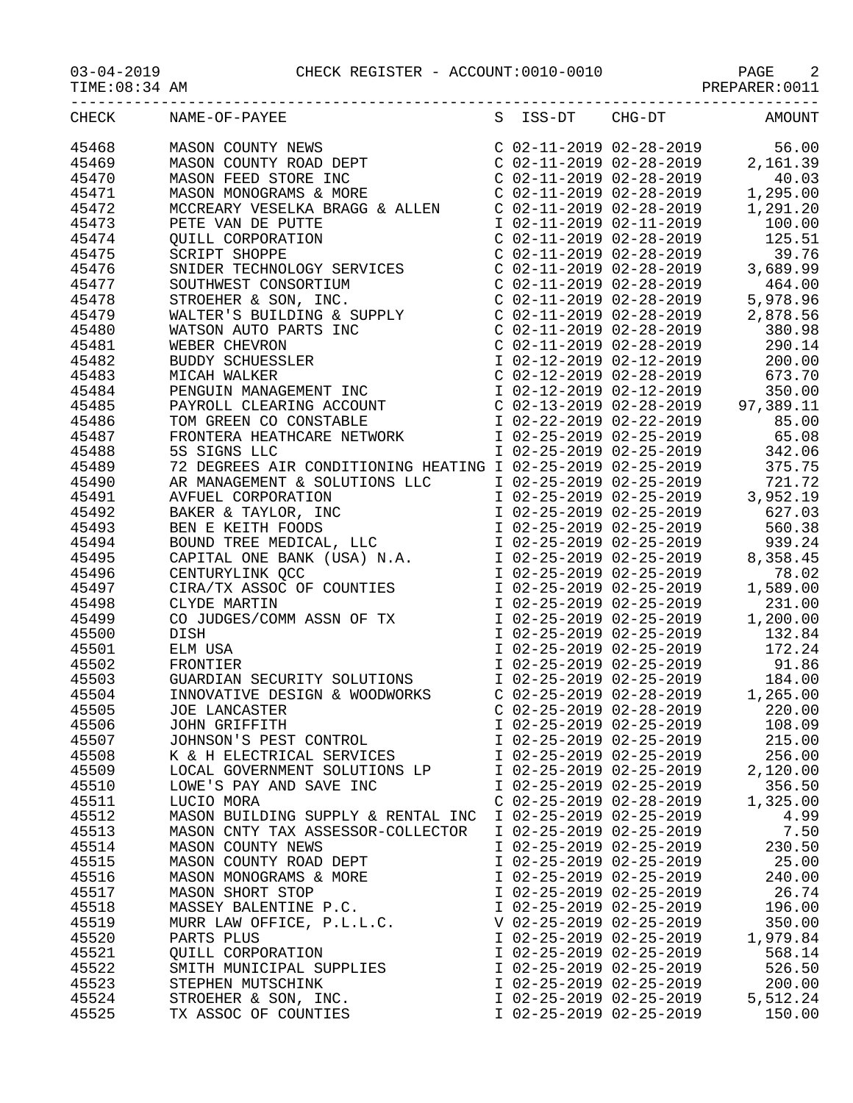03-04-2019 CHECK REGISTER - ACCOUNT:0010-0010 PAGE 2

TIME:08:34 AM PREPARER:0011

| CHECK          | NAME-OF-PAYEE                                      |                           | S ISS-DT CHG-DT AMOUNT  |          |
|----------------|----------------------------------------------------|---------------------------|-------------------------|----------|
| 45468          |                                                    |                           |                         |          |
| 45469          |                                                    |                           |                         |          |
| 45470          |                                                    |                           |                         |          |
| 45471          |                                                    |                           |                         |          |
| 45472          |                                                    |                           |                         |          |
| 45473          |                                                    |                           |                         |          |
| 45474          |                                                    |                           |                         |          |
| 45475          |                                                    |                           |                         |          |
| 45476          |                                                    |                           |                         |          |
| 45477          |                                                    |                           |                         |          |
| 45478          |                                                    |                           |                         |          |
| 45479          |                                                    |                           |                         |          |
| 45480          | WATSON AUTO PA<br>WEBER CHEVRON                    |                           |                         |          |
| 45481          |                                                    |                           |                         |          |
| 45482          |                                                    |                           |                         |          |
| 45483          |                                                    |                           |                         |          |
| 45484          |                                                    |                           |                         |          |
| 45485          |                                                    |                           |                         |          |
| 45486          |                                                    |                           |                         |          |
| 45487          |                                                    |                           |                         |          |
| 45488          |                                                    |                           |                         |          |
| 45489          |                                                    |                           |                         |          |
| 45490          |                                                    |                           |                         |          |
| 45491          |                                                    |                           |                         |          |
| 45492          |                                                    |                           |                         |          |
| 45493          |                                                    |                           |                         |          |
| 45494          |                                                    |                           |                         |          |
| 45495          |                                                    |                           |                         |          |
| 45496          |                                                    |                           |                         |          |
| 45497          |                                                    |                           |                         |          |
| 45498          |                                                    |                           |                         |          |
| 45499          |                                                    |                           |                         |          |
| 45500          |                                                    |                           |                         |          |
| 45501          |                                                    |                           |                         |          |
| 45502<br>45503 |                                                    |                           |                         |          |
| 45504          |                                                    |                           |                         |          |
| 45505          |                                                    |                           |                         |          |
|                |                                                    |                           | I 02-25-2019 02-25-2019 | 108.09   |
| 45506<br>45507 | JOHN GRIFFITH<br>JOHNSON'S PEST CONTROL            | I 02-25-2019 02-25-2019   |                         | 215.00   |
| 45508          | K & H ELECTRICAL SERVICES                          | I 02-25-2019 02-25-2019   |                         | 256.00   |
| 45509          | LOCAL GOVERNMENT SOLUTIONS LP                      | I 02-25-2019 02-25-2019   |                         | 2,120.00 |
| 45510          | LOWE'S PAY AND SAVE INC                            | I 02-25-2019 02-25-2019   |                         | 356.50   |
| 45511          | LUCIO MORA                                         | $C$ 02-25-2019 02-28-2019 |                         | 1,325.00 |
| 45512          | MASON BUILDING SUPPLY & RENTAL INC                 | I 02-25-2019 02-25-2019   |                         | 4.99     |
| 45513          | MASON CNTY TAX ASSESSOR-COLLECTOR                  | I 02-25-2019 02-25-2019   |                         | 7.50     |
| 45514          | MASON COUNTY NEWS                                  | I 02-25-2019 02-25-2019   |                         | 230.50   |
| 45515          | MASON COUNTY ROAD DEPT                             | I 02-25-2019 02-25-2019   |                         | 25.00    |
| 45516          | MASON MONOGRAMS & MORE                             | I 02-25-2019 02-25-2019   |                         | 240.00   |
| 45517          | MASON SHORT STOP                                   | I 02-25-2019 02-25-2019   |                         | 26.74    |
| 45518          |                                                    | I 02-25-2019 02-25-2019   |                         | 196.00   |
| 45519          | MASSEY BALENTINE P.C.<br>MURR LAW OFFICE, P.L.L.C. | V 02-25-2019 02-25-2019   |                         | 350.00   |
| 45520          | PARTS PLUS                                         | I 02-25-2019 02-25-2019   |                         | 1,979.84 |
| 45521          | QUILL CORPORATION                                  | I 02-25-2019 02-25-2019   |                         | 568.14   |
| 45522          | SMITH MUNICIPAL SUPPLIES                           | I 02-25-2019 02-25-2019   |                         | 526.50   |
| 45523          | STEPHEN MUTSCHINK                                  | I 02-25-2019 02-25-2019   |                         | 200.00   |
| 45524          | STROEHER & SON, INC.                               | I 02-25-2019 02-25-2019   |                         | 5,512.24 |
| 45525          | TX ASSOC OF COUNTIES                               | I 02-25-2019 02-25-2019   |                         | 150.00   |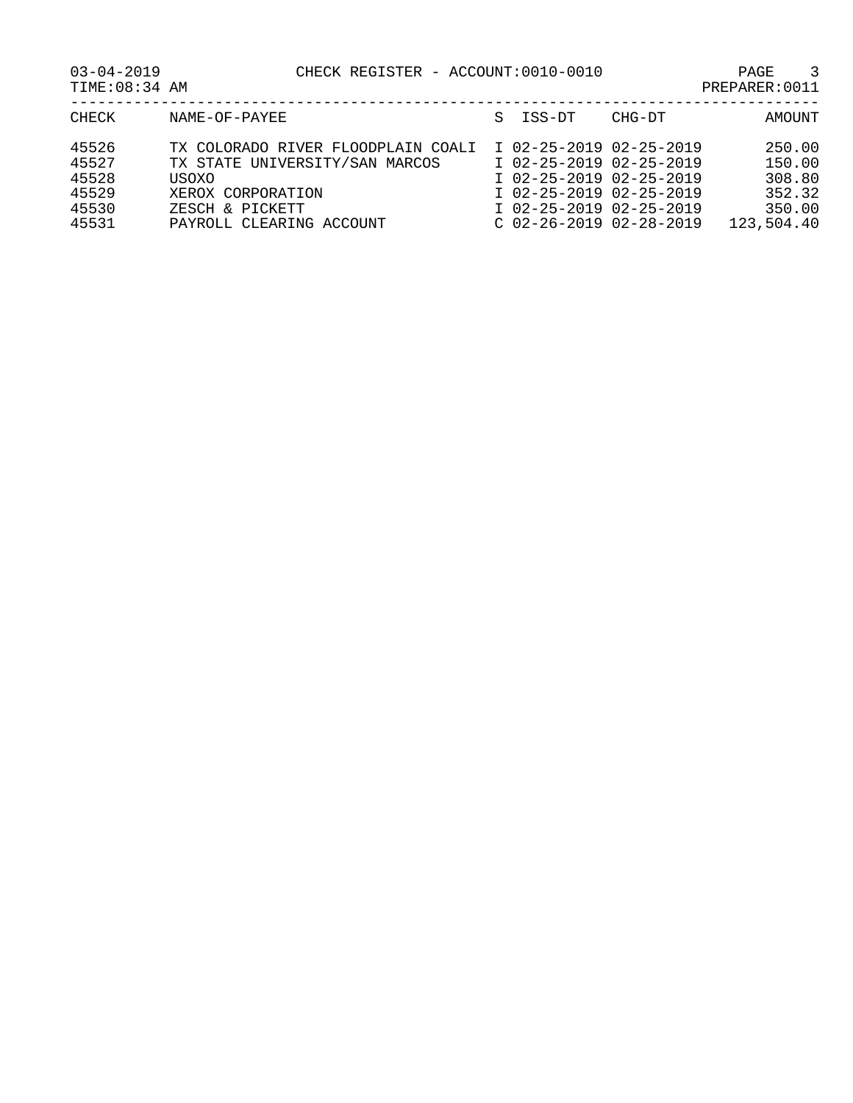| CHECK | NAME-OF-PAYEE                      | S ISS-DT<br>CHG-DT        | AMOUNT     |
|-------|------------------------------------|---------------------------|------------|
| 45526 | TX COLORADO RIVER FLOODPLAIN COALI | I 02-25-2019 02-25-2019   | 250.00     |
| 45527 | TX STATE UNIVERSITY/SAN MARCOS     | I 02-25-2019 02-25-2019   | 150.00     |
| 45528 | <b>USOXO</b>                       | I 02-25-2019 02-25-2019   | 308.80     |
| 45529 | XEROX CORPORATION                  | I 02-25-2019 02-25-2019   | 352.32     |
| 45530 | ZESCH & PICKETT                    | I 02-25-2019 02-25-2019   | 350.00     |
| 45531 | PAYROLL CLEARING ACCOUNT           | $C$ 02-26-2019 02-28-2019 | 123,504.40 |
|       |                                    |                           |            |